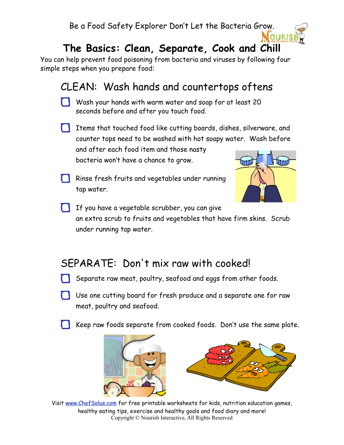Be a Food Safety Explorer Don't Let the Bacteria Grow.

# **The Basics: Clean, Separate, Cook and Chill**

You can help prevent food poisoning from bacteria and viruses by following four simple steps when you prepare food:

## CLEAN: Wash hands and countertops oftens

- Wash your hands with warm water and soap for at least 20 seconds before and after you touch food.
- Items that touched food like cutting boards, dishes, silverware, and counter tops need to be washed with hot soapy water. Wash before and after each food item and those nasty bacteria won't have a chance to grow.
- Rinse fresh fruits and vegetables under running tap water.



OURI!

If you have a vegetable scrubber, you can give an extra scrub to fruits and vegetables that have firm skins. Scrub under running tap water.

### SEPARATE: Don't mix raw with cooked!

- Separate raw meat, poultry, seafood and eggs from other foods.
- Use one cutting board for fresh produce and a separate one for raw meat, poultry and seafood.
	- Keep raw foods separate from cooked foods. Don't use the same plate.



Visit [www.ChefSolus.com](http://www.nourishinteractive.com) for free printable worksheets for kids, nutrition education games, healthy eating tips, exercise and healthy goals and food diary and more! Copyright © Nourish Interactive, All Rights Reserved